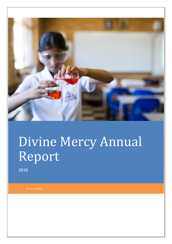

# Divine Mercy Annual Report

2018

Zanne Spadoni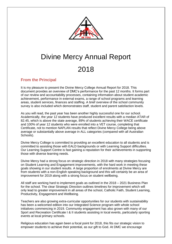

# Divine Mercy Annual Report 2018

# **From the Principal**

It is my pleasure to present the Divine Mercy College Annual Report for 2018. This document provides an overview of DMC's performance for the past 12 months. It forms part of our review and accountability processes, containing information about student academic achievement, performance in external exams, a range of school programs and learning areas, student services, finances and staffing. A brief overview of the school community survey is also included which demonstrates staff, student and parent satisfaction levels.

As you will read, the past year has been another highly successful one for our school. Academically, the year 12 students have produced excellent results with a median ATAR of 82.45, which is above the state average, 89% of students achieving their WACE certificate and 100% of year 12 students who were enrolled into a VET course, completing that Certificate, not to mention NAPLAN results that reflect Divine Mercy College being above average or substantially above average in ALL categories (compared with all Australian Schools).

Divine Mercy College is committed to providing an excellent education to all students and is committed to assisting those with EALD backgrounds or with Learning Support difficulties. Our Learning Support Centre is fast gaining a reputation for their achievements in supporting those with diverse learning needs.

Divine Mercy had a strong focus on strategic direction in 2018 with many strategies focusing on Student Learning and Engagement improvements, with the hard work in meeting these goals showing in our student results. A large proportion of enrolments at Divine Mercy are from students with a non-English speaking background and this will certainly be an area of improvement for 2019 along with a strong focus on student wellbeing.

All staff are working hard to implement goals as outlined in the 2018 – 2021 Business Plan for the school. The clear Strategic Direction outlines timelines for improvement which will only lead to greater improvement in all areas of the school, Catholic Faith, Student Learning, Productivity, Engagement and Wellbeing.

Teachers are also growing extra-curricular opportunities for our students with sustainability has been a welcomed edition into our Integrated Science program with whole school initiatives commencing in 2019. Community engagement has also grown with many of our Sport and Recreation Certificate I & II students assisting in local events, particularly sporting events at local primary schools.

Religious education has again been a focal point for 2018, this fits our strategic vision to empower students to achieve their potential, as our gift to God. At DMC we encourage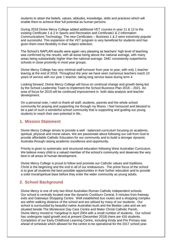students to attain the beliefs, values, attitudes, knowledge, skills and practices which will enable them to achieve their full potential as human persons.

During 2018 Divine Mercy College added additional VET courses in year 11 & 12 to the existing Certificate 1 & 2 in Sports and Recreation and Certificate1 & 2 Information Communications Technology. The new Certificates – Business 1 & 2 were extremely popular and successful. This expansion of the VET program is very beneficial for students and has given them more flexibility in their subject selection.

The School's NAPLAN results were again very pleasing as teachers' high level of teaching was confirmed by the results, with all areas being above the national average, with many areas being substantially higher than the national average. DMC consistently outperforms schools in close proximity in most year groups.

Divine Mercy College has very minimal staff turnover from year to year, with only 1 teacher leaving at the end of 2018. Throughout the year we have seen numerous teachers reach 10 years of service with our year 1 teacher, taking long service leave during term 4.

Looking forward, Divine Mercy College will focus on continual change and growth being led by the School Leadership Team to implement the School Business Plan 2018 – 2021. An area of focus for 2019 will be continued improvement in both data analysis and teacher development.

On a personal note, I wish to thank all staff, students, parents and the whole school community for praying and supporting me through my illness. I feel honoured and blessed to be a part of such a wonderful school community that is supporting and guiding our young students to reach their own potential in life..

#### **1. Mission Statement**

Divine Mercy College strives to provide a well - balanced curriculum focusing on academic, spiritual, physical and moral values. We are passionate about following our call from God to provide affordable Catholic Education for our community and to build a stronger dynamic Australia through raising academic excellence and opportunity.

Priority is given to systematic and structured education following West Australian Curriculum. We believe every child is a valued member of the school's community and deserves the very best in all areas of human development.

Divine Mercy College is proud to follow and promote our Catholic values and traditions. Christ is the beginning and the end in all of our endeavours. The prime focus of the school is to give all students the best possible opportunities in their further education and to provide a solid moral/spiritual base before they enter the wider community as young adults.

#### **2. School Background**

Divine Mercy is one of only two West Australian Roman Catholic Independent schools. Our school is centrally located near the dynamic Cockburn Central, 5 minutes from freeway exits and Gateways Shopping Centre. Well established bus routes and a shopping complex are within walking distance of the school and are utilised by many of our students. Our school is surrounded by beautiful native Australian bush and the Beeliar Lake and we are situated beside The Montessori Day Care Centre and Mater Christi Catholic Parish. Divine Mercy moved to Yangebup in April 2004 with a small number of students. Our school has undergone rapid growth and at present (December 2018) there are 416 students. Completion of our Early Childhood Learning Centre, including Kindy and Pre Primary was ahead of schedule which allowed for the centre to be operational for the 2017 school year.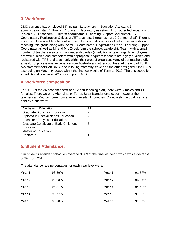#### **3. Workforce**

DMC currently has employed 1 Principal, 31 teachers, 4 Education Assistant, 3 administration staff, 1 librarian, 1 bursar, 1 laboratory assistant, 1 computer technician (who is also a VET teacher), 1 uniform coordinator, 1 Learning Support Coordinator, 1 VET Coordinator / Registration Officer, 2 VET teachers, 1 groundsman, 2 Canteen Staff. There is also a small group of teachers who have taken on additional Coordinator roles in addition to teaching, this group along with the VET Coordinator / Registration Officer, Learning Support Coordinator as well as Mr and Mrs Zydek form the schools Leadership Team. with a small number of teachers also taking on leadership roles (in addition to teaching). All employees are well qualified and competent with appropriate degrees: teachers are highly qualified and registered with TRB and teach only within their area of expertise. Many of our teachers offer a wealth of professional experience from Australia and other countries. At the end of 2018 two staff members left DMC, one is taking maternity leave and the other resigned. One EA is also going on Maternity Leave within the first few weeks of Term 1, 2019. There is scope for an additional teacher in 2019 for support EALD.

#### **4. Workforce composition:**

For 2018 of the 36 academic staff and 12 non-teaching staff, there were 7 males and 41 females. There were no Aboriginal or Torres Strait Islander employees, however the teachers at DMC do come from a wide diversity of countries. Collectively the qualifications held by staffs were:

| Bachelor in Education.                  | 29 |
|-----------------------------------------|----|
| Graduate Diploma in Education           |    |
| Diploma in Special Needs Education.     |    |
| Bachelor of Physical Education.         |    |
| Graduate Certificate of Early Childhood | 3  |
| Education.                              |    |
| Master of Education.                    | 6  |
| Doctorate.                              |    |

## **5. Student Attendance:**

Our students attended school on average 93.83 of the time last year, which was a decrease of 2% from 2017.

The attendance rate percentages for each year level were:

| Year 1: | 93.59% | Year 6:         | 91.57% |
|---------|--------|-----------------|--------|
| Year 2: | 93.98% | Year 7:         | 96.96% |
| Year 3: | 94.31% | Year 8:         | 94.51% |
| Year 4: | 95.77% | Year 9:         | 91.51% |
| Year 5: | 96.98% | <b>Year 10:</b> | 91.53% |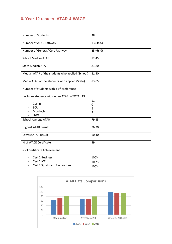# **6. Year 12 results- ATAR & WACE:**

| Number of Students:                                  | 38             |
|------------------------------------------------------|----------------|
| Number of ATAR Pathway                               | 13 (34%)       |
| Number of General/ Cert Pathway                      | 25 (66%)       |
| <b>School Median ATAR</b>                            | 82.45          |
| <b>State Median ATAR</b>                             | 81.80          |
| Median ATAR of the students who applied (School)     | 81.50          |
| Media ATAR of the Students who applied (State)       | 83.05          |
| Number of students with a 1 <sup>st</sup> preference |                |
| (includes students without an ATAR) - TOTAL:19       |                |
| Curtin                                               | 11             |
| ECU                                                  | 0              |
| Murdoch                                              | 6              |
| <b>UWA</b>                                           | $\overline{2}$ |
| <b>School Average ATAR</b>                           | 79.35          |
|                                                      |                |
| <b>Highest ATAR Result</b>                           | 96.30          |
| <b>Lowest ATAR Result</b>                            | 60.40          |
| % of WACE Certificate                                | 89             |
| & of Certificate Achievement                         |                |
| Cert 2 Business                                      | 100%           |
| Cert 2 ICT                                           | 100%           |
| Cert 2 Sports and Recreations                        | 100%           |
|                                                      |                |

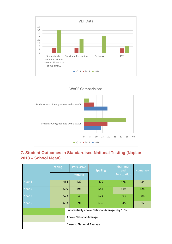



# **7. Student Outcomes in Standardised National Testing (Naplan 2018 – School Mean).**

|                                                | Reading | Persuasive | <b>Spelling</b> | Grammar<br>and | <b>Numeracy</b> |
|------------------------------------------------|---------|------------|-----------------|----------------|-----------------|
|                                                |         | Writing    |                 | Punctuation    |                 |
| Year <sub>3</sub>                              | 454     | 429        | 479             | 478            | 434             |
| Year 5                                         | 539     | 495        | 554             | 519            | 528             |
| Year 7                                         | 573     | 548        | 624             | 593            | 586             |
| Year 9                                         | 603     | 591        | 632             | 645            | 612             |
| Substantially above National Average. (by 15%) |         |            |                 |                |                 |
| Above National Average.                        |         |            |                 |                |                 |
| <b>Close to National Average</b>               |         |            |                 |                |                 |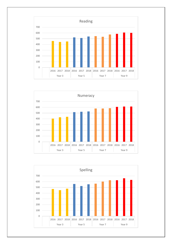



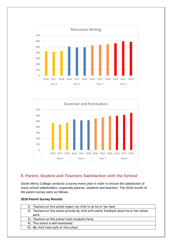



## **8. Parent, Student and Teachers Satisfaction with the School**

Divine Mercy College conducts a survey every year in order to ensure the satisfaction of many school stakeholders, especially parents, students and teachers. The 2018 results of the parent survey were as follows;

#### **2018 Parent Survey Results**

| Teachers at this school expect my child to do his or her best.                           |
|------------------------------------------------------------------------------------------|
| 2) Teachers at this school provide my child with useful feedback about his or her school |
| work.                                                                                    |
| 3) Teachers at this school treat students fairly.                                        |
| 4) This school is well maintained.                                                       |
| 5) My child feels safe at this school.                                                   |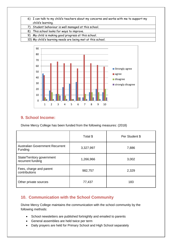| 6) I can talk to my child's teachers about my concerns and works with me to support my |
|----------------------------------------------------------------------------------------|
| child's learning.                                                                      |
| 7) Student behaviour is well managed at this school.                                   |
| 8) This school looks for ways to improve.                                              |
| 9) My child is making good progress at this school.                                    |
| 10) My child's learning needs are being met at this school.                            |



#### **9. School Income:**

Divine Mercy College has been funded from the following measures: (2018)

|                                                   | Total \$  | Per Student \$ |
|---------------------------------------------------|-----------|----------------|
| <b>Australian Government Recurrent</b><br>Funding | 3,327,997 | 7,886          |
| State/Territory government<br>recurrent funding   | 1,266,966 | 3,002          |
| Fees, charge and parent<br>contributions          | 982,757   | 2,329          |
| Other private sources                             | 77,437    | 183            |

# **10. Communication with the School Community**

Divine Mercy College maintains the communication with the school community by the following methods:

- School newsletters are published fortnightly and emailed to parents
- General assemblies are held twice per term
- Daily prayers are held for Primary School and High School separately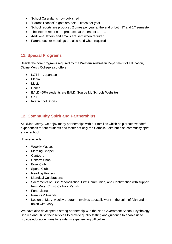- School Calendar is now published
- "Parent Teacher' nights are held 2 times per year
- School reports are produced 2 times per year at the end of both  $1^{st}$  and  $2^{nd}$  semester
- The interim reports are produced at the end of term 1
- Additional letters and emails are sent when required
- Parent teacher meetings are also held when required

#### **11. Special Programs**

Beside the core programs required by the Western Australian Department of Education, Divine Mercy College also offers

- LOTE Japanese
- Media
- Music
- Dance
- EALD (59% students are EALD: Source My Schools Website)
- G&T
- Interschool Sports

# **12. Community Spirit and Partnerships**

At Divine Mercy, we enjoy many partnerships with our families which help create wonderful experiences for our students and foster not only the Catholic Faith but also community spirit at our school.

These include:

- Weekly Masses
- Morning Chapel
- Canteen.
- Uniform Shop.
- Book Club.
- Sports Clubs
- Reading Rosters.
- Liturgical Celebrations
- Sacraments of First Reconciliation, First Communion, and Confirmation with support from Mater Christi Catholic Parish.
- Fundraising
- Parents & Friends
- Legion of Mary- weekly program. Involves apostolic work in the spirit of faith and in union with Mary.

We have also developed a strong partnership with the Non-Government School Psychology Service and utilise their services to provide quality testing and guidance to enable us to provide education plans for students experiencing difficulties.